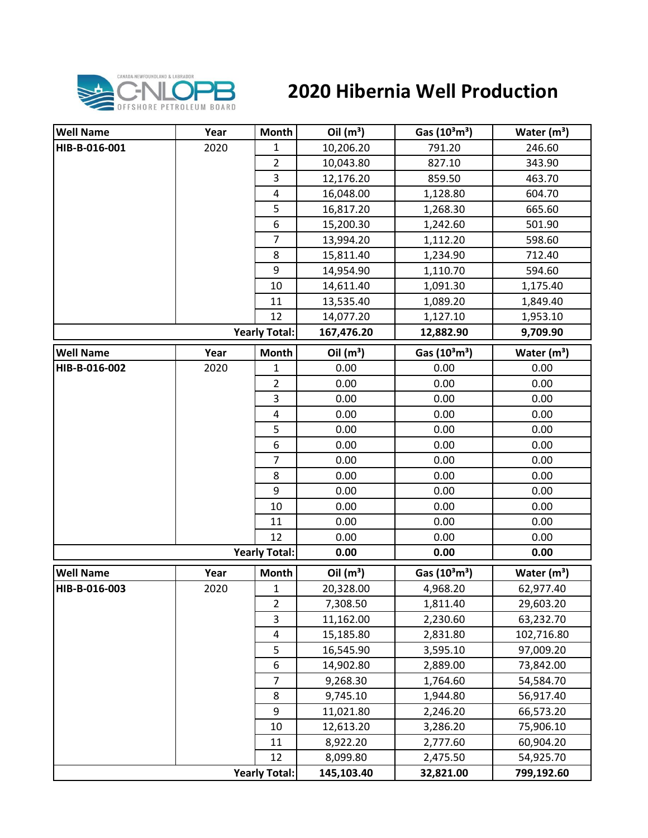

## **2020 Hibernia Well Production**

| <b>Well Name</b> | Year | Month                   | Oil $(m^3)$ | Gas $(10^3 \text{m}^3)$               | Water $(m^3)$           |
|------------------|------|-------------------------|-------------|---------------------------------------|-------------------------|
| HIB-B-016-001    | 2020 | 1                       | 10,206.20   | 791.20                                | 246.60                  |
|                  |      | $\overline{2}$          | 10,043.80   | 827.10                                | 343.90                  |
|                  |      | 3                       | 12,176.20   | 859.50                                | 463.70                  |
|                  |      | $\pmb{4}$               | 16,048.00   | 1,128.80                              | 604.70                  |
|                  |      | 5                       | 16,817.20   | 1,268.30                              | 665.60                  |
|                  |      | 6                       | 15,200.30   | 1,242.60                              | 501.90                  |
|                  |      | $\overline{7}$          | 13,994.20   | 1,112.20                              | 598.60                  |
|                  |      | 8                       | 15,811.40   | 1,234.90                              | 712.40                  |
|                  |      | 9                       | 14,954.90   | 1,110.70                              | 594.60                  |
|                  |      | 10                      | 14,611.40   | 1,091.30                              | 1,175.40                |
|                  |      | 11                      | 13,535.40   | 1,089.20                              | 1,849.40                |
|                  |      | 12                      | 14,077.20   | 1,127.10                              | 1,953.10                |
|                  |      | <b>Yearly Total:</b>    | 167,476.20  | 12,882.90                             | 9,709.90                |
| <b>Well Name</b> | Year | <b>Month</b>            | Oil $(m^3)$ | Gas (10 <sup>3</sup> m <sup>3</sup> ) | Water $(m^3)$           |
| HIB-B-016-002    | 2020 | 1                       | 0.00        | 0.00                                  | 0.00                    |
|                  |      | $\overline{2}$          | 0.00        | 0.00                                  | 0.00                    |
|                  |      | $\overline{\mathbf{3}}$ | 0.00        | 0.00                                  | 0.00                    |
|                  |      | 4                       | 0.00        | 0.00                                  | 0.00                    |
|                  |      | 5                       | 0.00        | 0.00                                  | 0.00                    |
|                  |      | 6                       | 0.00        | 0.00                                  | 0.00                    |
|                  |      | $\overline{7}$          | 0.00        | 0.00                                  | 0.00                    |
|                  |      | 8                       | 0.00        | 0.00                                  | 0.00                    |
|                  |      | 9                       | 0.00        | 0.00                                  | 0.00                    |
|                  |      | 10                      | 0.00        | 0.00                                  | 0.00                    |
|                  |      | 11                      | 0.00        | 0.00                                  | 0.00                    |
|                  |      | 12                      | 0.00        | 0.00                                  | 0.00                    |
|                  |      | <b>Yearly Total:</b>    | 0.00        | 0.00                                  | 0.00                    |
| <b>Well Name</b> | Year | <b>Month</b>            | Oil $(m^3)$ | Gas (10 <sup>3</sup> m <sup>3</sup> ) | Water (m <sup>3</sup> ) |
| HIB-B-016-003    | 2020 | $\mathbf{1}$            | 20,328.00   | 4,968.20                              | 62,977.40               |
|                  |      | $\overline{2}$          | 7,308.50    | 1,811.40                              | 29,603.20               |
|                  |      | 3                       | 11,162.00   | 2,230.60                              | 63,232.70               |
|                  |      | 4                       | 15,185.80   | 2,831.80                              | 102,716.80              |
|                  |      | 5                       | 16,545.90   | 3,595.10                              | 97,009.20               |
|                  |      | 6                       | 14,902.80   | 2,889.00                              | 73,842.00               |
|                  |      | $\overline{7}$          | 9,268.30    | 1,764.60                              | 54,584.70               |
|                  |      | 8                       | 9,745.10    | 1,944.80                              | 56,917.40               |
|                  |      | 9                       | 11,021.80   | 2,246.20                              | 66,573.20               |
|                  |      | 10                      | 12,613.20   | 3,286.20                              | 75,906.10               |
|                  |      | 11                      | 8,922.20    | 2,777.60                              | 60,904.20               |
|                  |      | 12                      | 8,099.80    | 2,475.50                              | 54,925.70               |
|                  |      | <b>Yearly Total:</b>    | 145,103.40  | 32,821.00                             | 799,192.60              |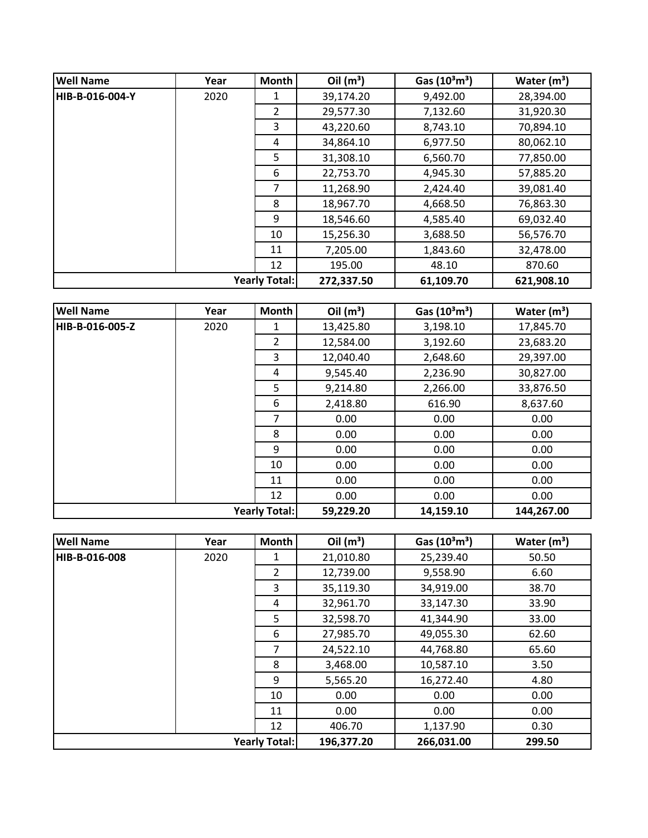| <b>Well Name</b>     | Year | <b>Month</b>  | Oil $(m^3)$ | Gas $(10^3 \text{m}^3)$ | Water $(m^3)$ |
|----------------------|------|---------------|-------------|-------------------------|---------------|
| HIB-B-016-004-Y      | 2020 |               | 39,174.20   | 9,492.00                | 28,394.00     |
|                      |      | $\mathcal{L}$ | 29,577.30   | 7,132.60                | 31,920.30     |
|                      |      | 3             | 43,220.60   | 8,743.10                | 70,894.10     |
|                      |      | 4             | 34,864.10   | 6,977.50                | 80,062.10     |
|                      |      | 5             | 31,308.10   | 6,560.70                | 77,850.00     |
|                      |      | 6             | 22,753.70   | 4,945.30                | 57,885.20     |
|                      |      | 7             | 11,268.90   | 2,424.40                | 39,081.40     |
|                      |      | 8             | 18,967.70   | 4,668.50                | 76,863.30     |
|                      |      | 9             | 18,546.60   | 4,585.40                | 69,032.40     |
|                      |      | 10            | 15,256.30   | 3,688.50                | 56,576.70     |
|                      |      | 11            | 7,205.00    | 1,843.60                | 32,478.00     |
|                      |      | 12            | 195.00      | 48.10                   | 870.60        |
| <b>Yearly Total:</b> |      |               | 272,337.50  | 61,109.70               | 621,908.10    |

| <b>Well Name</b>     | Year | Month          | Oil $(m^3)$ | Gas $(10^3 \text{m}^3)$ | Water $(m^3)$ |
|----------------------|------|----------------|-------------|-------------------------|---------------|
| HIB-B-016-005-Z      | 2020 | 1              | 13,425.80   | 3,198.10                | 17,845.70     |
|                      |      | $\overline{2}$ | 12,584.00   | 3,192.60                | 23,683.20     |
|                      |      | 3              | 12,040.40   | 2,648.60                | 29,397.00     |
|                      |      | 4              | 9,545.40    | 2,236.90                | 30,827.00     |
|                      |      | 5              | 9,214.80    | 2,266.00                | 33,876.50     |
|                      |      | 6              | 2,418.80    | 616.90                  | 8,637.60      |
|                      |      | $\overline{7}$ | 0.00        | 0.00                    | 0.00          |
|                      |      | 8              | 0.00        | 0.00                    | 0.00          |
|                      |      | 9              | 0.00        | 0.00                    | 0.00          |
|                      |      | 10             | 0.00        | 0.00                    | 0.00          |
|                      |      | 11             | 0.00        | 0.00                    | 0.00          |
|                      |      | 12             | 0.00        | 0.00                    | 0.00          |
| <b>Yearly Total:</b> |      |                | 59,229.20   | 14,159.10               | 144,267.00    |

| <b>Well Name</b> | Year | <b>Month</b>         | Oil $(m^3)$ | Gas $(10^3 \text{m}^3)$ | Water $(m^3)$ |
|------------------|------|----------------------|-------------|-------------------------|---------------|
| HIB-B-016-008    | 2020 | 1                    | 21,010.80   | 25,239.40               | 50.50         |
|                  |      | $\overline{2}$       | 12,739.00   | 9,558.90                | 6.60          |
|                  |      | 3                    | 35,119.30   | 34,919.00               | 38.70         |
|                  |      | 4                    | 32,961.70   | 33,147.30               | 33.90         |
|                  |      | 5                    | 32,598.70   | 41,344.90               | 33.00         |
|                  |      | 6                    | 27,985.70   | 49,055.30               | 62.60         |
|                  |      | 7                    | 24,522.10   | 44,768.80               | 65.60         |
|                  |      | 8                    | 3,468.00    | 10,587.10               | 3.50          |
|                  |      | 9                    | 5,565.20    | 16,272.40               | 4.80          |
|                  |      | 10                   | 0.00        | 0.00                    | 0.00          |
|                  |      | 11                   | 0.00        | 0.00                    | 0.00          |
|                  |      | 12                   | 406.70      | 1,137.90                | 0.30          |
|                  |      | <b>Yearly Total:</b> | 196,377.20  | 266,031.00              | 299.50        |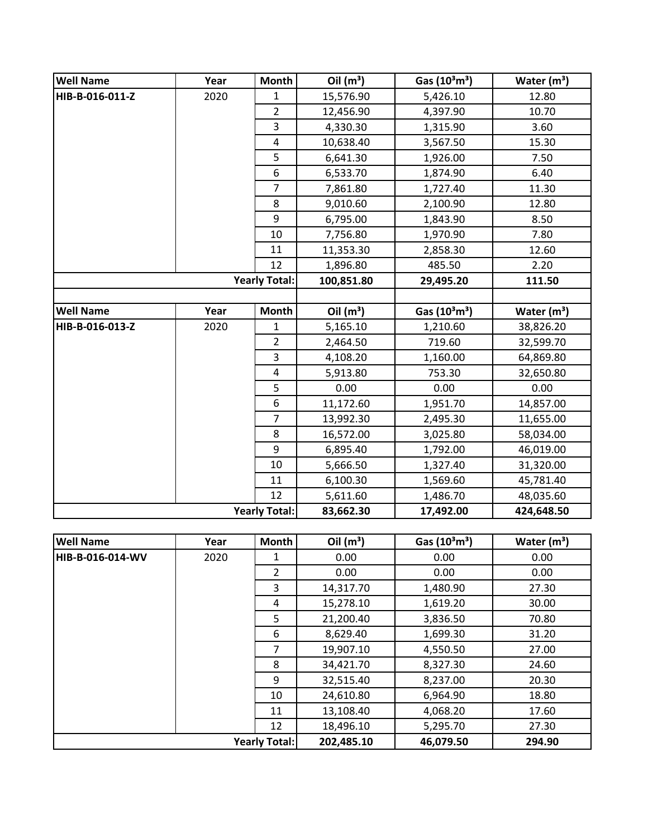| <b>Well Name</b> | Year | <b>Month</b>         | Oil $(m^3)$ | Gas (10 <sup>3</sup> m <sup>3</sup> ) | Water $(m^3)$ |
|------------------|------|----------------------|-------------|---------------------------------------|---------------|
| HIB-B-016-011-Z  | 2020 | $\mathbf{1}$         | 15,576.90   | 5,426.10                              | 12.80         |
|                  |      | $\overline{2}$       | 12,456.90   | 4,397.90                              | 10.70         |
|                  |      | 3                    | 4,330.30    | 1,315.90                              | 3.60          |
|                  |      | 4                    | 10,638.40   | 3,567.50                              | 15.30         |
|                  |      | 5                    | 6,641.30    | 1,926.00                              | 7.50          |
|                  |      | 6                    | 6,533.70    | 1,874.90                              | 6.40          |
|                  |      | $\overline{7}$       | 7,861.80    | 1,727.40                              | 11.30         |
|                  |      | 8                    | 9,010.60    | 2,100.90                              | 12.80         |
|                  |      | 9                    | 6,795.00    | 1,843.90                              | 8.50          |
|                  |      | 10                   | 7,756.80    | 1,970.90                              | 7.80          |
|                  |      | 11                   | 11,353.30   | 2,858.30                              | 12.60         |
|                  |      | 12                   | 1,896.80    | 485.50                                | 2.20          |
|                  |      | <b>Yearly Total:</b> | 100,851.80  | 29,495.20                             | 111.50        |
|                  |      |                      |             |                                       |               |
| <b>Well Name</b> | Year | <b>Month</b>         | Oil $(m^3)$ | Gas (10 <sup>3</sup> m <sup>3</sup> ) | Water $(m^3)$ |
| HIB-B-016-013-Z  | 2020 | 1                    | 5,165.10    | 1,210.60                              | 38,826.20     |
|                  |      | $\overline{2}$       | 2,464.50    | 719.60                                | 32,599.70     |
|                  |      | 3                    | 4,108.20    | 1,160.00                              | 64,869.80     |
|                  |      | $\overline{4}$       | 5,913.80    | 753.30                                | 32,650.80     |
|                  |      | 5                    | 0.00        | 0.00                                  | 0.00          |
|                  |      | 6                    | 11,172.60   | 1,951.70                              | 14,857.00     |
|                  |      | $\overline{7}$       | 13,992.30   | 2,495.30                              | 11,655.00     |
|                  |      | 8                    | 16,572.00   | 3,025.80                              | 58,034.00     |
|                  |      | 9                    | 6,895.40    | 1,792.00                              | 46,019.00     |
|                  |      | 10                   | 5,666.50    | 1,327.40                              | 31,320.00     |
|                  |      | 11                   | 6,100.30    | 1,569.60                              | 45,781.40     |
|                  |      | 12                   | 5,611.60    | 1,486.70                              | 48,035.60     |
|                  |      | <b>Yearly Total:</b> | 83,662.30   | 17,492.00                             | 424,648.50    |
|                  |      |                      |             |                                       |               |
| <b>Well Name</b> | Year | <b>Month</b>         | Oil $(m^3)$ | Gas (10 <sup>3</sup> m <sup>3</sup> ) | Water $(m^3)$ |
| HIB-B-016-014-WV | 2020 | 1                    | 0.00        | 0.00                                  | 0.00          |
|                  |      | $\overline{2}$       | 0.00        | 0.00                                  | 0.00          |
|                  |      | 3                    | 14,317.70   | 1,480.90                              | 27.30         |
|                  |      | 4                    | 15,278.10   | 1,619.20                              | 30.00         |
|                  |      | 5                    | 21,200.40   | 3,836.50                              | 70.80         |
|                  |      | 6                    | 8,629.40    | 1,699.30                              | 31.20         |
|                  |      | $\overline{7}$       | 19,907.10   | 4,550.50                              | 27.00         |
|                  |      | 8                    | 34,421.70   | 8,327.30                              | 24.60         |
|                  |      | 9                    | 32,515.40   | 8,237.00                              | 20.30         |
|                  |      | 10                   | 24,610.80   | 6,964.90                              | 18.80         |
|                  |      | 11                   | 13,108.40   | 4,068.20                              | 17.60         |
|                  |      | 12                   | 18,496.10   | 5,295.70                              | 27.30         |
|                  |      | <b>Yearly Total:</b> | 202,485.10  | 46,079.50                             | 294.90        |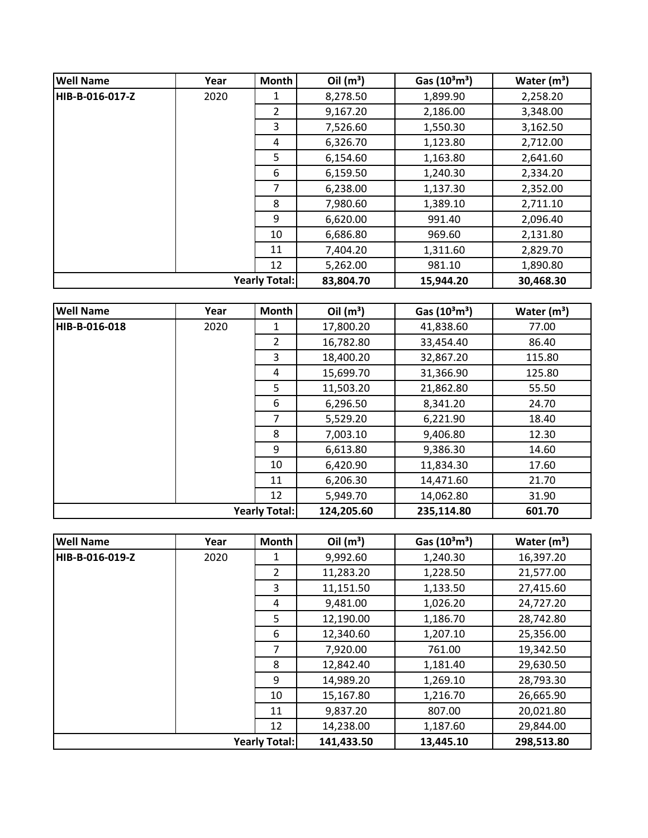| <b>Well Name</b> | Year | Month                | Oil $(m^3)$ | Gas $(10^3 \text{m}^3)$ | Water $(m^3)$ |
|------------------|------|----------------------|-------------|-------------------------|---------------|
| HIB-B-016-017-Z  | 2020 | 1                    | 8,278.50    | 1,899.90                | 2,258.20      |
|                  |      | 2                    | 9,167.20    | 2,186.00                | 3,348.00      |
|                  |      | 3                    | 7,526.60    | 1,550.30                | 3,162.50      |
|                  |      | 4                    | 6,326.70    | 1,123.80                | 2,712.00      |
|                  |      | 5                    | 6,154.60    | 1,163.80                | 2,641.60      |
|                  |      | 6                    | 6,159.50    | 1,240.30                | 2,334.20      |
|                  |      | 7                    | 6,238.00    | 1,137.30                | 2,352.00      |
|                  |      | 8                    | 7,980.60    | 1,389.10                | 2,711.10      |
|                  |      | 9                    | 6,620.00    | 991.40                  | 2,096.40      |
|                  |      | 10                   | 6,686.80    | 969.60                  | 2,131.80      |
|                  |      | 11                   | 7,404.20    | 1,311.60                | 2,829.70      |
|                  |      | 12                   | 5,262.00    | 981.10                  | 1,890.80      |
|                  |      | <b>Yearly Total:</b> | 83,804.70   | 15,944.20               | 30,468.30     |

| <b>Well Name</b>     | Year | Month          | Oil $(m^3)$ | Gas $(10^3 \text{m}^3)$ | Water $(m^3)$ |
|----------------------|------|----------------|-------------|-------------------------|---------------|
| HIB-B-016-018        | 2020 | 1              | 17,800.20   | 41,838.60               | 77.00         |
|                      |      | $\overline{2}$ | 16,782.80   | 33,454.40               | 86.40         |
|                      |      | 3              | 18,400.20   | 32,867.20               | 115.80        |
|                      |      | 4              | 15,699.70   | 31,366.90               | 125.80        |
|                      |      | 5              | 11,503.20   | 21,862.80               | 55.50         |
|                      |      | 6              | 6,296.50    | 8,341.20                | 24.70         |
|                      |      | $\overline{7}$ | 5,529.20    | 6,221.90                | 18.40         |
|                      |      | 8              | 7,003.10    | 9,406.80                | 12.30         |
|                      |      | 9              | 6,613.80    | 9,386.30                | 14.60         |
|                      |      | 10             | 6,420.90    | 11,834.30               | 17.60         |
|                      |      | 11             | 6,206.30    | 14,471.60               | 21.70         |
|                      |      | 12             | 5,949.70    | 14,062.80               | 31.90         |
| <b>Yearly Total:</b> |      |                | 124,205.60  | 235,114.80              | 601.70        |

| <b>Well Name</b> | Year | <b>Month</b>         | Oil $(m^3)$ | Gas $(10^3 \text{m}^3)$ | Water $(m^3)$ |
|------------------|------|----------------------|-------------|-------------------------|---------------|
| HIB-B-016-019-Z  | 2020 |                      | 9,992.60    | 1,240.30                | 16,397.20     |
|                  |      | $\overline{2}$       | 11,283.20   | 1,228.50                | 21,577.00     |
|                  |      | 3                    | 11,151.50   | 1,133.50                | 27,415.60     |
|                  |      | 4                    | 9,481.00    | 1,026.20                | 24,727.20     |
|                  |      | 5                    | 12,190.00   | 1,186.70                | 28,742.80     |
|                  |      | 6                    | 12,340.60   | 1,207.10                | 25,356.00     |
|                  |      | 7                    | 7,920.00    | 761.00                  | 19,342.50     |
|                  |      | 8                    | 12,842.40   | 1,181.40                | 29,630.50     |
|                  |      | 9                    | 14,989.20   | 1,269.10                | 28,793.30     |
|                  |      | 10                   | 15,167.80   | 1,216.70                | 26,665.90     |
|                  |      | 11                   | 9,837.20    | 807.00                  | 20,021.80     |
|                  |      | 12                   | 14,238.00   | 1,187.60                | 29,844.00     |
|                  |      | <b>Yearly Total:</b> | 141,433.50  | 13,445.10               | 298,513.80    |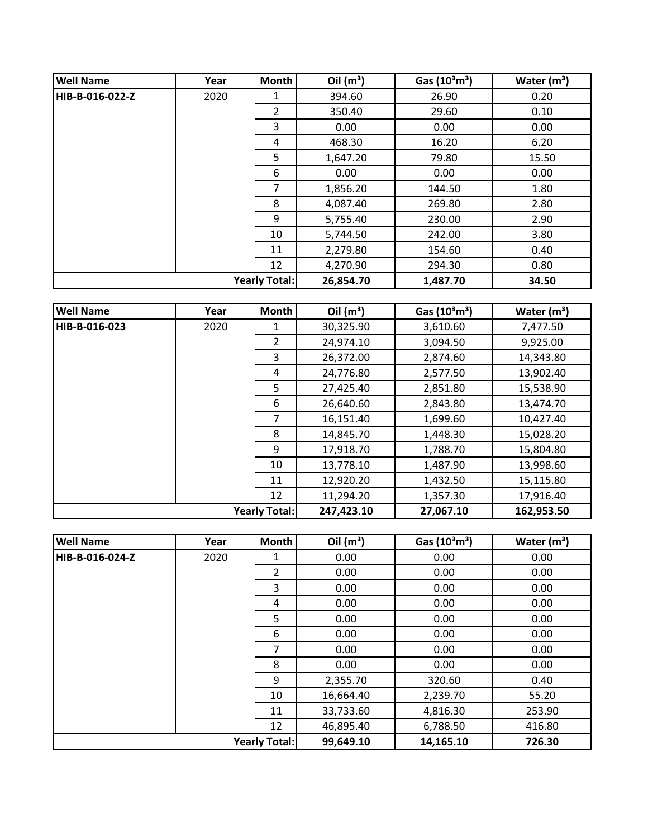| <b>Well Name</b> | Year | Month                | Oil $(m^3)$ | Gas $(10^3 \text{m}^3)$ | Water $(m^3)$ |
|------------------|------|----------------------|-------------|-------------------------|---------------|
| HIB-B-016-022-Z  | 2020 | 1                    | 394.60      | 26.90                   | 0.20          |
|                  |      | $\overline{2}$       | 350.40      | 29.60                   | 0.10          |
|                  |      | 3                    | 0.00        | 0.00                    | 0.00          |
|                  |      | 4                    | 468.30      | 16.20                   | 6.20          |
|                  |      | 5                    | 1,647.20    | 79.80                   | 15.50         |
|                  |      | 6                    | 0.00        | 0.00                    | 0.00          |
|                  |      | 7                    | 1,856.20    | 144.50                  | 1.80          |
|                  |      | 8                    | 4,087.40    | 269.80                  | 2.80          |
|                  |      | 9                    | 5,755.40    | 230.00                  | 2.90          |
|                  |      | 10                   | 5,744.50    | 242.00                  | 3.80          |
|                  |      | 11                   | 2,279.80    | 154.60                  | 0.40          |
|                  |      | 12                   | 4,270.90    | 294.30                  | 0.80          |
|                  |      | <b>Yearly Total:</b> | 26,854.70   | 1,487.70                | 34.50         |

| <b>Well Name</b> | Year | Month                | Oil $(m^3)$ | Gas $(10^3 \text{m}^3)$ | Water $(m^3)$ |
|------------------|------|----------------------|-------------|-------------------------|---------------|
| HIB-B-016-023    | 2020 | 1                    | 30,325.90   | 3,610.60                | 7,477.50      |
|                  |      | $\overline{2}$       | 24,974.10   | 3,094.50                | 9,925.00      |
|                  |      | 3                    | 26,372.00   | 2,874.60                | 14,343.80     |
|                  |      | 4                    | 24,776.80   | 2,577.50                | 13,902.40     |
|                  |      | 5                    | 27,425.40   | 2,851.80                | 15,538.90     |
|                  |      | 6                    | 26,640.60   | 2,843.80                | 13,474.70     |
|                  |      | $\overline{7}$       | 16,151.40   | 1,699.60                | 10,427.40     |
|                  |      | 8                    | 14,845.70   | 1,448.30                | 15,028.20     |
|                  |      | 9                    | 17,918.70   | 1,788.70                | 15,804.80     |
|                  |      | 10                   | 13,778.10   | 1,487.90                | 13,998.60     |
|                  |      | 11                   | 12,920.20   | 1,432.50                | 15,115.80     |
|                  |      | 12                   | 11,294.20   | 1,357.30                | 17,916.40     |
|                  |      | <b>Yearly Total:</b> | 247,423.10  | 27,067.10               | 162,953.50    |

| <b>Well Name</b> | Year | Month                | Oil $(m^3)$ | Gas $(10^3 \text{m}^3)$ | Water $(m^3)$ |
|------------------|------|----------------------|-------------|-------------------------|---------------|
| HIB-B-016-024-Z  | 2020 | 1                    | 0.00        | 0.00                    | 0.00          |
|                  |      | $\overline{2}$       | 0.00        | 0.00                    | 0.00          |
|                  |      | 3                    | 0.00        | 0.00                    | 0.00          |
|                  |      | 4                    | 0.00        | 0.00                    | 0.00          |
|                  |      | 5                    | 0.00        | 0.00                    | 0.00          |
|                  |      | 6                    | 0.00        | 0.00                    | 0.00          |
|                  |      | 7                    | 0.00        | 0.00                    | 0.00          |
|                  |      | 8                    | 0.00        | 0.00                    | 0.00          |
|                  |      | 9                    | 2,355.70    | 320.60                  | 0.40          |
|                  |      | 10                   | 16,664.40   | 2,239.70                | 55.20         |
|                  |      | 11                   | 33,733.60   | 4,816.30                | 253.90        |
|                  |      | 12                   | 46,895.40   | 6,788.50                | 416.80        |
|                  |      | <b>Yearly Total:</b> | 99,649.10   | 14,165.10               | 726.30        |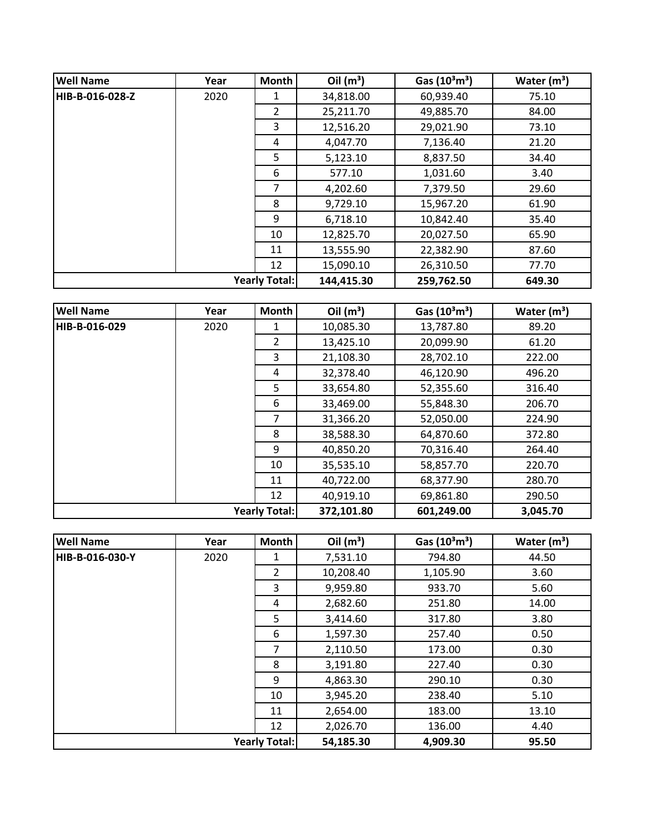| <b>Well Name</b> | Year | <b>Month</b>         | Oil $(m^3)$ | Gas $(10^3 \text{m}^3)$ | Water $(m^3)$ |
|------------------|------|----------------------|-------------|-------------------------|---------------|
| HIB-B-016-028-Z  | 2020 | 1                    | 34,818.00   | 60,939.40               | 75.10         |
|                  |      | $\overline{2}$       | 25,211.70   | 49,885.70               | 84.00         |
|                  |      | 3                    | 12,516.20   | 29,021.90               | 73.10         |
|                  |      | 4                    | 4,047.70    | 7,136.40                | 21.20         |
|                  |      | 5                    | 5,123.10    | 8,837.50                | 34.40         |
|                  |      | 6                    | 577.10      | 1,031.60                | 3.40          |
|                  |      | 7                    | 4,202.60    | 7,379.50                | 29.60         |
|                  |      | 8                    | 9,729.10    | 15,967.20               | 61.90         |
|                  |      | 9                    | 6,718.10    | 10,842.40               | 35.40         |
|                  |      | 10                   | 12,825.70   | 20,027.50               | 65.90         |
|                  |      | 11                   | 13,555.90   | 22,382.90               | 87.60         |
|                  |      | 12                   | 15,090.10   | 26,310.50               | 77.70         |
|                  |      | <b>Yearly Total:</b> | 144,415.30  | 259,762.50              | 649.30        |

| <b>Well Name</b> | Year | Month                | Oil $(m^3)$ | Gas $(10^3 \text{m}^3)$ | Water $(m^3)$ |
|------------------|------|----------------------|-------------|-------------------------|---------------|
| HIB-B-016-029    | 2020 | 1                    | 10,085.30   | 13,787.80               | 89.20         |
|                  |      | $\overline{2}$       | 13,425.10   | 20,099.90               | 61.20         |
|                  |      | 3                    | 21,108.30   | 28,702.10               | 222.00        |
|                  |      | 4                    | 32,378.40   | 46,120.90               | 496.20        |
|                  |      | 5                    | 33,654.80   | 52,355.60               | 316.40        |
|                  |      | 6                    | 33,469.00   | 55,848.30               | 206.70        |
|                  |      | $\overline{7}$       | 31,366.20   | 52,050.00               | 224.90        |
|                  |      | 8                    | 38,588.30   | 64,870.60               | 372.80        |
|                  |      | 9                    | 40,850.20   | 70,316.40               | 264.40        |
|                  |      | 10                   | 35,535.10   | 58,857.70               | 220.70        |
|                  |      | 11                   | 40,722.00   | 68,377.90               | 280.70        |
|                  |      | 12                   | 40,919.10   | 69,861.80               | 290.50        |
|                  |      | <b>Yearly Total:</b> | 372,101.80  | 601,249.00              | 3,045.70      |

| <b>Well Name</b> | Year | Month                | Oil $(m^3)$ | Gas $(10^3 \text{m}^3)$ | Water $(m^3)$ |
|------------------|------|----------------------|-------------|-------------------------|---------------|
| HIB-B-016-030-Y  | 2020 | 1                    | 7,531.10    | 794.80                  | 44.50         |
|                  |      | $\overline{2}$       | 10,208.40   | 1,105.90                | 3.60          |
|                  |      | 3                    | 9,959.80    | 933.70                  | 5.60          |
|                  |      | 4                    | 2,682.60    | 251.80                  | 14.00         |
|                  |      | 5                    | 3,414.60    | 317.80                  | 3.80          |
|                  |      | 6                    | 1,597.30    | 257.40                  | 0.50          |
|                  |      | 7                    | 2,110.50    | 173.00                  | 0.30          |
|                  |      | 8                    | 3,191.80    | 227.40                  | 0.30          |
|                  |      | 9                    | 4,863.30    | 290.10                  | 0.30          |
|                  |      | 10                   | 3,945.20    | 238.40                  | 5.10          |
|                  |      | 11                   | 2,654.00    | 183.00                  | 13.10         |
|                  |      | 12                   | 2,026.70    | 136.00                  | 4.40          |
|                  |      | <b>Yearly Total:</b> | 54,185.30   | 4,909.30                | 95.50         |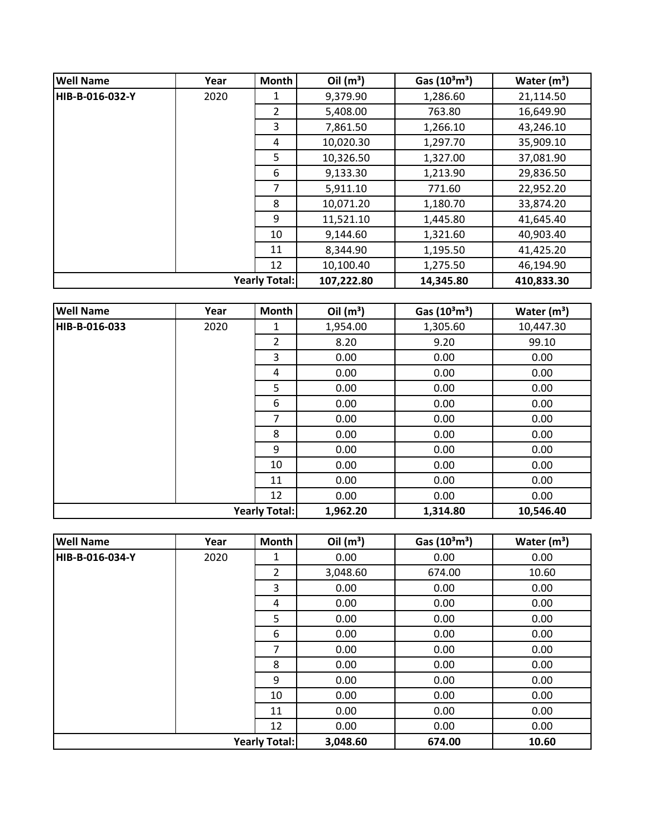| <b>Well Name</b> | Year | <b>Month</b>         | Oil $(m^3)$ | Gas $(10^3 \text{m}^3)$ | Water $(m^3)$ |
|------------------|------|----------------------|-------------|-------------------------|---------------|
| HIB-B-016-032-Y  | 2020 | 1                    | 9,379.90    | 1,286.60                | 21,114.50     |
|                  |      | $\overline{2}$       | 5,408.00    | 763.80                  | 16,649.90     |
|                  |      | 3                    | 7,861.50    | 1,266.10                | 43,246.10     |
|                  |      | 4                    | 10,020.30   | 1,297.70                | 35,909.10     |
|                  |      | 5                    | 10,326.50   | 1,327.00                | 37,081.90     |
|                  |      | 6                    | 9,133.30    | 1,213.90                | 29,836.50     |
|                  |      | $\overline{7}$       | 5,911.10    | 771.60                  | 22,952.20     |
|                  |      | 8                    | 10,071.20   | 1,180.70                | 33,874.20     |
|                  |      | 9                    | 11,521.10   | 1,445.80                | 41,645.40     |
|                  |      | 10                   | 9,144.60    | 1,321.60                | 40,903.40     |
|                  |      | 11                   | 8,344.90    | 1,195.50                | 41,425.20     |
|                  |      | 12                   | 10,100.40   | 1,275.50                | 46,194.90     |
|                  |      | <b>Yearly Total:</b> | 107,222.80  | 14,345.80               | 410,833.30    |

| <b>Well Name</b> | Year | Month                | Oil $(m^3)$ | Gas $(10^3 \text{m}^3)$ | Water $(m^3)$ |
|------------------|------|----------------------|-------------|-------------------------|---------------|
| HIB-B-016-033    | 2020 | 1                    | 1,954.00    | 1,305.60                | 10,447.30     |
|                  |      | $\overline{2}$       | 8.20        | 9.20                    | 99.10         |
|                  |      | 3                    | 0.00        | 0.00                    | 0.00          |
|                  |      | 4                    | 0.00        | 0.00                    | 0.00          |
|                  |      | 5                    | 0.00        | 0.00                    | 0.00          |
|                  |      | 6                    | 0.00        | 0.00                    | 0.00          |
|                  |      | 7                    | 0.00        | 0.00                    | 0.00          |
|                  |      | 8                    | 0.00        | 0.00                    | 0.00          |
|                  |      | 9                    | 0.00        | 0.00                    | 0.00          |
|                  |      | 10                   | 0.00        | 0.00                    | 0.00          |
|                  |      | 11                   | 0.00        | 0.00                    | 0.00          |
|                  |      | 12                   | 0.00        | 0.00                    | 0.00          |
|                  |      | <b>Yearly Total:</b> | 1,962.20    | 1,314.80                | 10,546.40     |

| <b>Well Name</b> | Year | Month                | Oil $(m^3)$ | Gas $(10^3 \text{m}^3)$ | Water $(m^3)$ |
|------------------|------|----------------------|-------------|-------------------------|---------------|
| HIB-B-016-034-Y  | 2020 | 1                    | 0.00        | 0.00                    | 0.00          |
|                  |      | $\overline{2}$       | 3,048.60    | 674.00                  | 10.60         |
|                  |      | 3                    | 0.00        | 0.00                    | 0.00          |
|                  |      | 4                    | 0.00        | 0.00                    | 0.00          |
|                  |      | 5                    | 0.00        | 0.00                    | 0.00          |
|                  |      | 6                    | 0.00        | 0.00                    | 0.00          |
|                  |      | 7                    | 0.00        | 0.00                    | 0.00          |
|                  |      | 8                    | 0.00        | 0.00                    | 0.00          |
|                  |      | 9                    | 0.00        | 0.00                    | 0.00          |
|                  |      | 10                   | 0.00        | 0.00                    | 0.00          |
|                  |      | 11                   | 0.00        | 0.00                    | 0.00          |
|                  |      | 12                   | 0.00        | 0.00                    | 0.00          |
|                  |      | <b>Yearly Total:</b> | 3,048.60    | 674.00                  | 10.60         |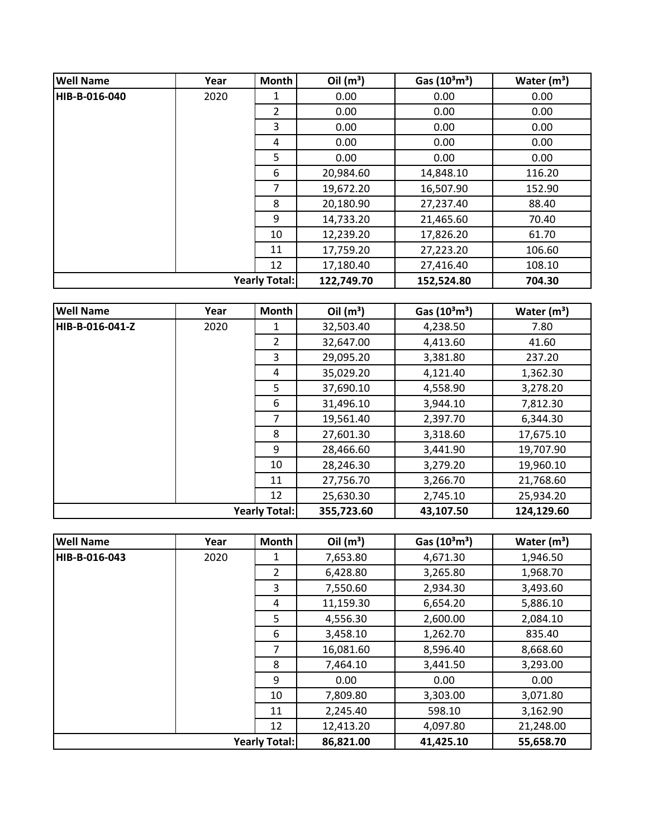| <b>Well Name</b> | Year | <b>Month</b>         | Oil $(m^3)$ | Gas $(10^3 \text{m}^3)$ | Water $(m^3)$ |
|------------------|------|----------------------|-------------|-------------------------|---------------|
| HIB-B-016-040    | 2020 | 1                    | 0.00        | 0.00                    | 0.00          |
|                  |      | 2                    | 0.00        | 0.00                    | 0.00          |
|                  |      | 3                    | 0.00        | 0.00                    | 0.00          |
|                  |      | 4                    | 0.00        | 0.00                    | 0.00          |
|                  |      | 5                    | 0.00        | 0.00                    | 0.00          |
|                  |      | 6                    | 20,984.60   | 14,848.10               | 116.20        |
|                  |      | 7                    | 19,672.20   | 16,507.90               | 152.90        |
|                  |      | 8                    | 20,180.90   | 27,237.40               | 88.40         |
|                  |      | 9                    | 14,733.20   | 21,465.60               | 70.40         |
|                  |      | 10                   | 12,239.20   | 17,826.20               | 61.70         |
|                  |      | 11                   | 17,759.20   | 27,223.20               | 106.60        |
|                  |      | 12                   | 17,180.40   | 27,416.40               | 108.10        |
|                  |      | <b>Yearly Total:</b> | 122,749.70  | 152,524.80              | 704.30        |

| <b>Well Name</b>     | Year | <b>Month</b>   | Oil $(m^3)$ | Gas $(10^3 \text{m}^3)$ | Water $(m^3)$ |
|----------------------|------|----------------|-------------|-------------------------|---------------|
| HIB-B-016-041-Z      | 2020 | 1              | 32,503.40   | 4,238.50                | 7.80          |
|                      |      | $\overline{2}$ | 32,647.00   | 4,413.60                | 41.60         |
|                      |      | 3              | 29,095.20   | 3,381.80                | 237.20        |
|                      |      | 4              | 35,029.20   | 4,121.40                | 1,362.30      |
|                      |      | 5              | 37,690.10   | 4,558.90                | 3,278.20      |
|                      |      | 6              | 31,496.10   | 3,944.10                | 7,812.30      |
|                      |      | $\overline{7}$ | 19,561.40   | 2,397.70                | 6,344.30      |
|                      |      | 8              | 27,601.30   | 3,318.60                | 17,675.10     |
|                      |      | 9              | 28,466.60   | 3,441.90                | 19,707.90     |
|                      |      | 10             | 28,246.30   | 3,279.20                | 19,960.10     |
|                      |      | 11             | 27,756.70   | 3,266.70                | 21,768.60     |
|                      |      | 12             | 25,630.30   | 2,745.10                | 25,934.20     |
| <b>Yearly Total:</b> |      |                | 355,723.60  | 43,107.50               | 124,129.60    |

| <b>Well Name</b> | Year | Month                | Oil $(m^3)$ | Gas $(10^3 \text{m}^3)$ | Water $(m^3)$ |
|------------------|------|----------------------|-------------|-------------------------|---------------|
| HIB-B-016-043    | 2020 | 1                    | 7,653.80    | 4,671.30                | 1,946.50      |
|                  |      | $\overline{2}$       | 6,428.80    | 3,265.80                | 1,968.70      |
|                  |      | 3                    | 7,550.60    | 2,934.30                | 3,493.60      |
|                  |      | 4                    | 11,159.30   | 6,654.20                | 5,886.10      |
|                  |      | 5                    | 4,556.30    | 2,600.00                | 2,084.10      |
|                  |      | 6                    | 3,458.10    | 1,262.70                | 835.40        |
|                  |      | 7                    | 16,081.60   | 8,596.40                | 8,668.60      |
|                  |      | 8                    | 7,464.10    | 3,441.50                | 3,293.00      |
|                  |      | 9                    | 0.00        | 0.00                    | 0.00          |
|                  |      | 10                   | 7,809.80    | 3,303.00                | 3,071.80      |
|                  |      | 11                   | 2,245.40    | 598.10                  | 3,162.90      |
|                  |      | 12                   | 12,413.20   | 4,097.80                | 21,248.00     |
|                  |      | <b>Yearly Total:</b> | 86,821.00   | 41,425.10               | 55,658.70     |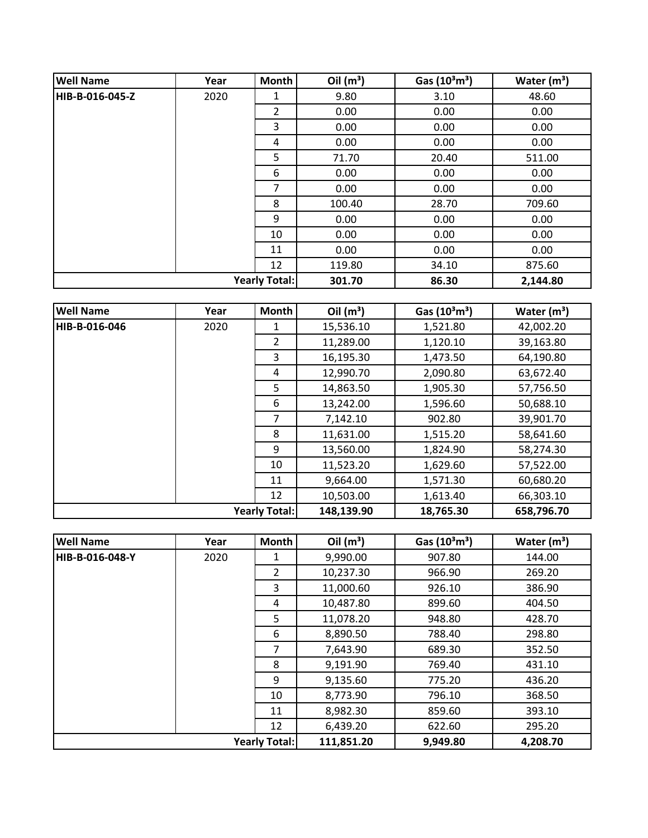| <b>Well Name</b> | Year | Month                | Oil $(m^3)$ | Gas $(10^3 \text{m}^3)$ | Water $(m^3)$ |
|------------------|------|----------------------|-------------|-------------------------|---------------|
| HIB-B-016-045-Z  | 2020 | 1                    | 9.80        | 3.10                    | 48.60         |
|                  |      | 2                    | 0.00        | 0.00                    | 0.00          |
|                  |      | 3                    | 0.00        | 0.00                    | 0.00          |
|                  |      | 4                    | 0.00        | 0.00                    | 0.00          |
|                  |      | 5                    | 71.70       | 20.40                   | 511.00        |
|                  |      | 6                    | 0.00        | 0.00                    | 0.00          |
|                  |      | 7                    | 0.00        | 0.00                    | 0.00          |
|                  |      | 8                    | 100.40      | 28.70                   | 709.60        |
|                  |      | 9                    | 0.00        | 0.00                    | 0.00          |
|                  |      | 10                   | 0.00        | 0.00                    | 0.00          |
|                  |      | 11                   | 0.00        | 0.00                    | 0.00          |
|                  |      | 12                   | 119.80      | 34.10                   | 875.60        |
|                  |      | <b>Yearly Total:</b> | 301.70      | 86.30                   | 2,144.80      |

| <b>Well Name</b> | Year | Month                | Oil $(m^3)$ | Gas $(10^3 \text{m}^3)$ | Water $(m^3)$ |
|------------------|------|----------------------|-------------|-------------------------|---------------|
| HIB-B-016-046    | 2020 | 1                    | 15,536.10   | 1,521.80                | 42,002.20     |
|                  |      | $\overline{2}$       | 11,289.00   | 1,120.10                | 39,163.80     |
|                  |      | 3                    | 16,195.30   | 1,473.50                | 64,190.80     |
|                  |      | 4                    | 12,990.70   | 2,090.80                | 63,672.40     |
|                  |      | 5                    | 14,863.50   | 1,905.30                | 57,756.50     |
|                  |      | 6                    | 13,242.00   | 1,596.60                | 50,688.10     |
|                  |      | $\overline{7}$       | 7,142.10    | 902.80                  | 39,901.70     |
|                  |      | 8                    | 11,631.00   | 1,515.20                | 58,641.60     |
|                  |      | 9                    | 13,560.00   | 1,824.90                | 58,274.30     |
|                  |      | 10                   | 11,523.20   | 1,629.60                | 57,522.00     |
|                  |      | 11                   | 9,664.00    | 1,571.30                | 60,680.20     |
|                  |      | 12                   | 10,503.00   | 1,613.40                | 66,303.10     |
|                  |      | <b>Yearly Total:</b> | 148,139.90  | 18,765.30               | 658,796.70    |

| <b>Well Name</b> | Year | <b>Month</b>         | Oil $(m^3)$ | Gas $(10^3 \text{m}^3)$ | Water $(m^3)$ |
|------------------|------|----------------------|-------------|-------------------------|---------------|
| HIB-B-016-048-Y  | 2020 | 1                    | 9,990.00    | 907.80                  | 144.00        |
|                  |      | $\overline{2}$       | 10,237.30   | 966.90                  | 269.20        |
|                  |      | 3                    | 11,000.60   | 926.10                  | 386.90        |
|                  |      | 4                    | 10,487.80   | 899.60                  | 404.50        |
|                  |      | 5                    | 11,078.20   | 948.80                  | 428.70        |
|                  |      | 6                    | 8,890.50    | 788.40                  | 298.80        |
|                  |      | 7                    | 7,643.90    | 689.30                  | 352.50        |
|                  |      | 8                    | 9,191.90    | 769.40                  | 431.10        |
|                  |      | 9                    | 9,135.60    | 775.20                  | 436.20        |
|                  |      | 10                   | 8,773.90    | 796.10                  | 368.50        |
|                  |      | 11                   | 8,982.30    | 859.60                  | 393.10        |
|                  |      | 12                   | 6,439.20    | 622.60                  | 295.20        |
|                  |      | <b>Yearly Total:</b> | 111,851.20  | 9,949.80                | 4,208.70      |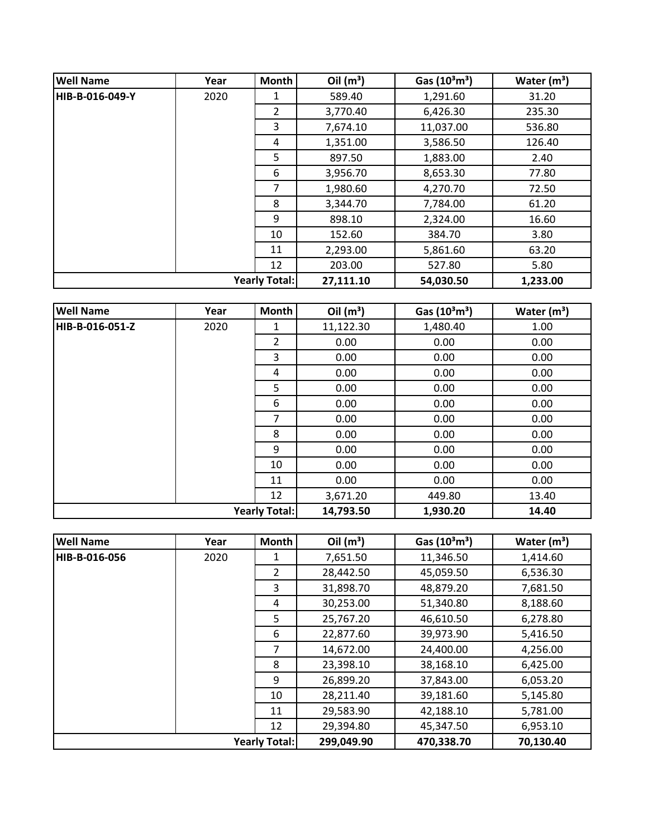| <b>Well Name</b>     | Year | <b>Month</b>   | Oil $(m^3)$ | Gas $(10^3 \text{m}^3)$ | Water $(m^3)$ |
|----------------------|------|----------------|-------------|-------------------------|---------------|
| HIB-B-016-049-Y      | 2020 | 1              | 589.40      | 1,291.60                | 31.20         |
|                      |      | $\overline{2}$ | 3,770.40    | 6,426.30                | 235.30        |
|                      |      | 3              | 7,674.10    | 11,037.00               | 536.80        |
|                      |      | 4              | 1,351.00    | 3,586.50                | 126.40        |
|                      |      | 5              | 897.50      | 1,883.00                | 2.40          |
|                      |      | 6              | 3,956.70    | 8,653.30                | 77.80         |
|                      |      | 7              | 1,980.60    | 4,270.70                | 72.50         |
|                      |      | 8              | 3,344.70    | 7,784.00                | 61.20         |
|                      |      | 9              | 898.10      | 2,324.00                | 16.60         |
|                      |      | 10             | 152.60      | 384.70                  | 3.80          |
|                      |      | 11             | 2,293.00    | 5,861.60                | 63.20         |
|                      |      | 12             | 203.00      | 527.80                  | 5.80          |
| <b>Yearly Total:</b> |      |                | 27,111.10   | 54,030.50               | 1,233.00      |

| <b>Well Name</b>     | Year | Month          | Oil $(m^3)$ | Gas $(10^3 \text{m}^3)$ | Water $(m^3)$ |
|----------------------|------|----------------|-------------|-------------------------|---------------|
| HIB-B-016-051-Z      | 2020 | 1              | 11,122.30   | 1,480.40                | 1.00          |
|                      |      | $\overline{2}$ | 0.00        | 0.00                    | 0.00          |
|                      |      | 3              | 0.00        | 0.00                    | 0.00          |
|                      |      | 4              | 0.00        | 0.00                    | 0.00          |
|                      |      | 5              | 0.00        | 0.00                    | 0.00          |
|                      |      | 6              | 0.00        | 0.00                    | 0.00          |
|                      |      | 7              | 0.00        | 0.00                    | 0.00          |
|                      |      | 8              | 0.00        | 0.00                    | 0.00          |
|                      |      | 9              | 0.00        | 0.00                    | 0.00          |
|                      |      | 10             | 0.00        | 0.00                    | 0.00          |
|                      |      | 11             | 0.00        | 0.00                    | 0.00          |
|                      |      | 12             | 3,671.20    | 449.80                  | 13.40         |
| <b>Yearly Total:</b> |      | 14,793.50      | 1,930.20    | 14.40                   |               |

| <b>Well Name</b>     | Year | <b>Month</b>   | Oil $(m^3)$ | Gas $(10^3 \text{m}^3)$ | Water $(m^3)$ |
|----------------------|------|----------------|-------------|-------------------------|---------------|
| HIB-B-016-056        | 2020 |                | 7,651.50    | 11,346.50               | 1,414.60      |
|                      |      | $\overline{2}$ | 28,442.50   | 45,059.50               | 6,536.30      |
|                      |      | 3              | 31,898.70   | 48,879.20               | 7,681.50      |
|                      |      | 4              | 30,253.00   | 51,340.80               | 8,188.60      |
|                      |      | 5              | 25,767.20   | 46,610.50               | 6,278.80      |
|                      |      | 6              | 22,877.60   | 39,973.90               | 5,416.50      |
|                      |      | 7              | 14,672.00   | 24,400.00               | 4,256.00      |
|                      |      | 8              | 23,398.10   | 38,168.10               | 6,425.00      |
|                      |      | 9              | 26,899.20   | 37,843.00               | 6,053.20      |
|                      |      | 10             | 28,211.40   | 39,181.60               | 5,145.80      |
|                      |      | 11             | 29,583.90   | 42,188.10               | 5,781.00      |
|                      |      | 12             | 29,394.80   | 45,347.50               | 6,953.10      |
| <b>Yearly Total:</b> |      |                | 299,049.90  | 470,338.70              | 70,130.40     |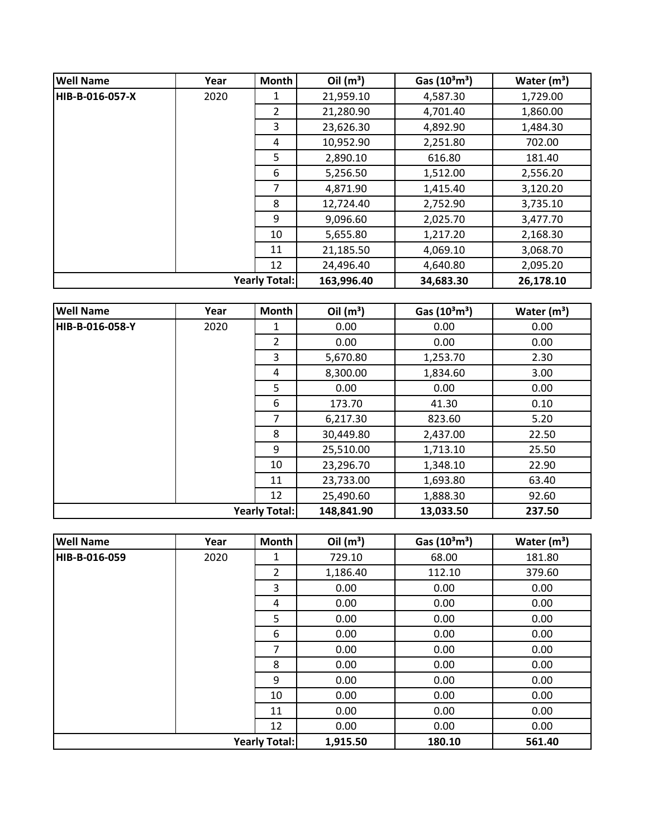| <b>Well Name</b>     | Year | Month          | Oil $(m^3)$ | Gas $(10^3 \text{m}^3)$ | Water $(m^3)$ |
|----------------------|------|----------------|-------------|-------------------------|---------------|
| HIB-B-016-057-X      | 2020 | 1              | 21,959.10   | 4,587.30                | 1,729.00      |
|                      |      | $\overline{2}$ | 21,280.90   | 4,701.40                | 1,860.00      |
|                      |      | 3              | 23,626.30   | 4,892.90                | 1,484.30      |
|                      |      | 4              | 10,952.90   | 2,251.80                | 702.00        |
|                      |      | 5              | 2,890.10    | 616.80                  | 181.40        |
|                      |      | 6              | 5,256.50    | 1,512.00                | 2,556.20      |
|                      |      | 7              | 4,871.90    | 1,415.40                | 3,120.20      |
|                      |      | 8              | 12,724.40   | 2,752.90                | 3,735.10      |
|                      |      | 9              | 9,096.60    | 2,025.70                | 3,477.70      |
|                      |      | 10             | 5,655.80    | 1,217.20                | 2,168.30      |
|                      |      | 11             | 21,185.50   | 4,069.10                | 3,068.70      |
|                      |      | 12             | 24,496.40   | 4,640.80                | 2,095.20      |
| <b>Yearly Total:</b> |      | 163,996.40     | 34,683.30   | 26,178.10               |               |

| <b>Well Name</b> | Year | Month                | Oil $(m^3)$ | Gas $(10^3 \text{m}^3)$ | Water $(m^3)$ |
|------------------|------|----------------------|-------------|-------------------------|---------------|
| НІВ-В-016-058-Y  | 2020 | 1                    | 0.00        | 0.00                    | 0.00          |
|                  |      | $\overline{2}$       | 0.00        | 0.00                    | 0.00          |
|                  |      | 3                    | 5,670.80    | 1,253.70                | 2.30          |
|                  |      | 4                    | 8,300.00    | 1,834.60                | 3.00          |
|                  |      | 5                    | 0.00        | 0.00                    | 0.00          |
|                  |      | 6                    | 173.70      | 41.30                   | 0.10          |
|                  |      | 7                    | 6,217.30    | 823.60                  | 5.20          |
|                  |      | 8                    | 30,449.80   | 2,437.00                | 22.50         |
|                  |      | 9                    | 25,510.00   | 1,713.10                | 25.50         |
|                  |      | 10                   | 23,296.70   | 1,348.10                | 22.90         |
|                  |      | 11                   | 23,733.00   | 1,693.80                | 63.40         |
|                  |      | 12                   | 25,490.60   | 1,888.30                | 92.60         |
|                  |      | <b>Yearly Total:</b> | 148,841.90  | 13,033.50               | 237.50        |

| <b>Well Name</b>     | Year | Month          | Oil $(m^3)$ | Gas $(10^3 \text{m}^3)$ | Water $(m^3)$ |
|----------------------|------|----------------|-------------|-------------------------|---------------|
| HIB-B-016-059        | 2020 | 1              | 729.10      | 68.00                   | 181.80        |
|                      |      | $\overline{2}$ | 1,186.40    | 112.10                  | 379.60        |
|                      |      | 3              | 0.00        | 0.00                    | 0.00          |
|                      |      | 4              | 0.00        | 0.00                    | 0.00          |
|                      |      | 5              | 0.00        | 0.00                    | 0.00          |
|                      |      | 6              | 0.00        | 0.00                    | 0.00          |
|                      |      | 7              | 0.00        | 0.00                    | 0.00          |
|                      |      | 8              | 0.00        | 0.00                    | 0.00          |
|                      |      | 9              | 0.00        | 0.00                    | 0.00          |
|                      |      | 10             | 0.00        | 0.00                    | 0.00          |
|                      |      | 11             | 0.00        | 0.00                    | 0.00          |
|                      |      | 12             | 0.00        | 0.00                    | 0.00          |
| <b>Yearly Total:</b> |      |                | 1,915.50    | 180.10                  | 561.40        |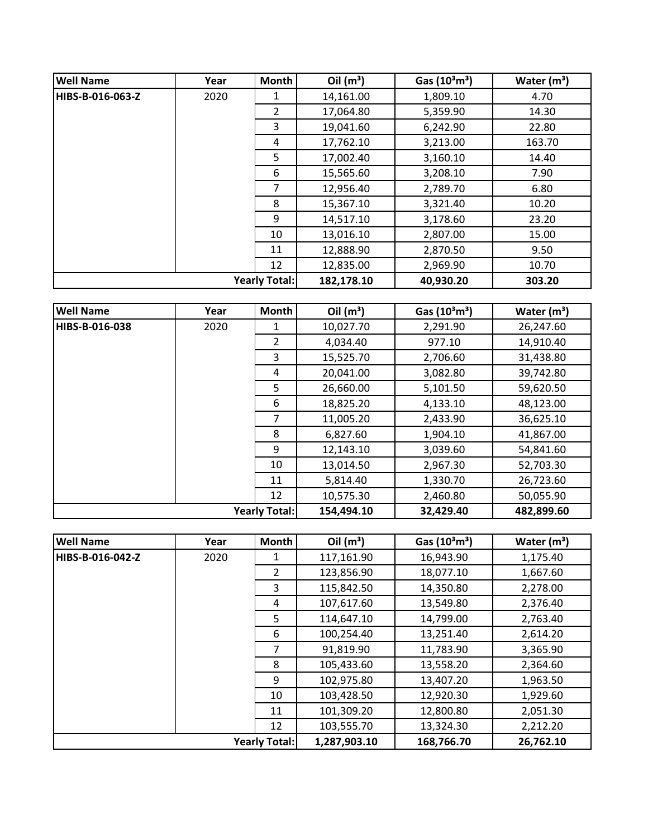| <b>Well Name</b> | Year                 | Month          | Oil $(m^3)$ | Gas $(10^3 \text{m}^3)$ | Water $(m^3)$ |
|------------------|----------------------|----------------|-------------|-------------------------|---------------|
| HIBS-B-016-063-Z | 2020                 | 1              | 14,161.00   | 1,809.10                | 4.70          |
|                  |                      | $\overline{2}$ | 17,064.80   | 5,359.90                | 14.30         |
|                  |                      | 3              | 19,041.60   | 6,242.90                | 22.80         |
|                  |                      | 4              | 17,762.10   | 3,213.00                | 163.70        |
|                  |                      | 5              | 17,002.40   | 3,160.10                | 14.40         |
|                  |                      | 6              | 15,565.60   | 3,208.10                | 7.90          |
|                  |                      | 7              | 12,956.40   | 2,789.70                | 6.80          |
|                  |                      | 8              | 15,367.10   | 3,321.40                | 10.20         |
|                  |                      | 9              | 14,517.10   | 3,178.60                | 23.20         |
|                  |                      | 10             | 13,016.10   | 2,807.00                | 15.00         |
|                  |                      | 11             | 12,888.90   | 2,870.50                | 9.50          |
|                  |                      | 12             | 12,835.00   | 2,969.90                | 10.70         |
|                  | <b>Yearly Total:</b> |                | 182,178.10  | 40,930.20               | 303.20        |

| <b>Well Name</b>     | Year | <b>Month</b>   | Oil $(m^3)$ | Gas $(10^3 \text{m}^3)$ | Water $(m^3)$ |
|----------------------|------|----------------|-------------|-------------------------|---------------|
| HIBS-B-016-038       | 2020 | 1              | 10,027.70   | 2,291.90                | 26,247.60     |
|                      |      | $\overline{2}$ | 4,034.40    | 977.10                  | 14,910.40     |
|                      |      | 3              | 15,525.70   | 2,706.60                | 31,438.80     |
|                      |      | 4              | 20,041.00   | 3,082.80                | 39,742.80     |
|                      |      | 5              | 26,660.00   | 5,101.50                | 59,620.50     |
|                      |      | 6              | 18,825.20   | 4,133.10                | 48,123.00     |
|                      |      | 7              | 11,005.20   | 2,433.90                | 36,625.10     |
|                      |      | 8              | 6,827.60    | 1,904.10                | 41,867.00     |
|                      |      | 9              | 12,143.10   | 3,039.60                | 54,841.60     |
|                      |      | 10             | 13,014.50   | 2,967.30                | 52,703.30     |
|                      |      | 11             | 5,814.40    | 1,330.70                | 26,723.60     |
|                      |      | 12             | 10,575.30   | 2,460.80                | 50,055.90     |
| <b>Yearly Total:</b> |      |                | 154,494.10  | 32,429.40               | 482,899.60    |

| <b>Well Name</b>     | Year | Month          | Oil $(m^3)$  | Gas $(10^3 \text{m}^3)$ | Water $(m^3)$ |
|----------------------|------|----------------|--------------|-------------------------|---------------|
| HIBS-B-016-042-Z     | 2020 |                | 117,161.90   | 16,943.90               | 1,175.40      |
|                      |      | $\overline{2}$ | 123,856.90   | 18,077.10               | 1,667.60      |
|                      |      | 3              | 115,842.50   | 14,350.80               | 2,278.00      |
|                      |      | 4              | 107,617.60   | 13,549.80               | 2,376.40      |
|                      |      | 5              | 114,647.10   | 14,799.00               | 2,763.40      |
|                      |      | 6              | 100,254.40   | 13,251.40               | 2,614.20      |
|                      |      | $\overline{7}$ | 91,819.90    | 11,783.90               | 3,365.90      |
|                      |      | 8              | 105,433.60   | 13,558.20               | 2,364.60      |
|                      |      | 9              | 102,975.80   | 13,407.20               | 1,963.50      |
|                      |      | 10             | 103,428.50   | 12,920.30               | 1,929.60      |
|                      |      | 11             | 101,309.20   | 12,800.80               | 2,051.30      |
|                      |      | 12             | 103,555.70   | 13,324.30               | 2,212.20      |
| <b>Yearly Total:</b> |      |                | 1,287,903.10 | 168,766.70              | 26,762.10     |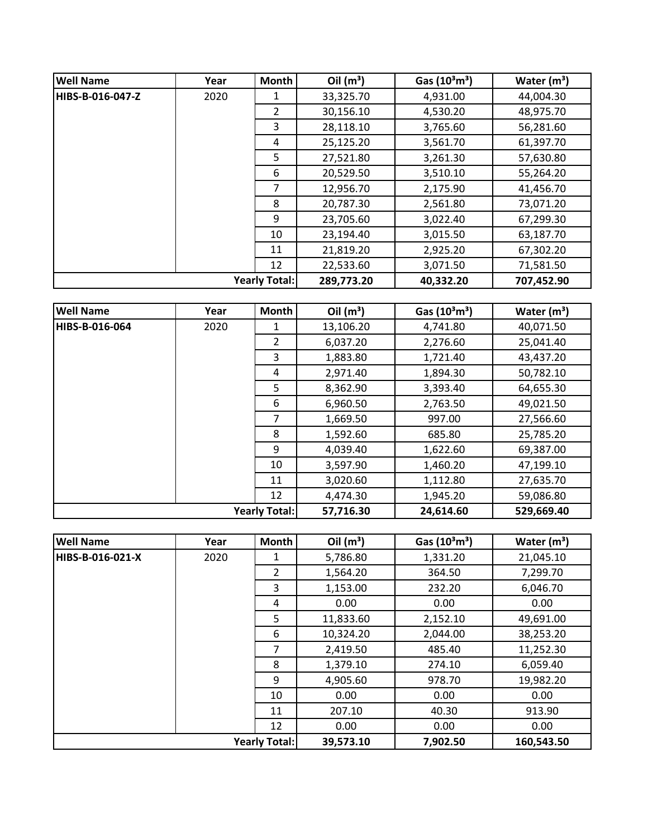| <b>Well Name</b> | Year | Month                | Oil $(m^3)$ | Gas $(10^3 \text{m}^3)$ | Water $(m^3)$ |
|------------------|------|----------------------|-------------|-------------------------|---------------|
| HIBS-B-016-047-Z | 2020 | 1                    | 33,325.70   | 4,931.00                | 44,004.30     |
|                  |      | $\overline{2}$       | 30,156.10   | 4,530.20                | 48,975.70     |
|                  |      | 3                    | 28,118.10   | 3,765.60                | 56,281.60     |
|                  |      | 4                    | 25,125.20   | 3,561.70                | 61,397.70     |
|                  |      | 5                    | 27,521.80   | 3,261.30                | 57,630.80     |
|                  |      | 6                    | 20,529.50   | 3,510.10                | 55,264.20     |
|                  |      | 7                    | 12,956.70   | 2,175.90                | 41,456.70     |
|                  |      | 8                    | 20,787.30   | 2,561.80                | 73,071.20     |
|                  |      | 9                    | 23,705.60   | 3,022.40                | 67,299.30     |
|                  |      | 10                   | 23,194.40   | 3,015.50                | 63,187.70     |
|                  |      | 11                   | 21,819.20   | 2,925.20                | 67,302.20     |
|                  |      | 12                   | 22,533.60   | 3,071.50                | 71,581.50     |
|                  |      | <b>Yearly Total:</b> | 289,773.20  | 40,332.20               | 707,452.90    |

| <b>Well Name</b>     | Year | <b>Month</b>   | Oil $(m^3)$ | Gas $(10^3 \text{m}^3)$ | Water $(m^3)$ |
|----------------------|------|----------------|-------------|-------------------------|---------------|
| HIBS-B-016-064       | 2020 | 1              | 13,106.20   | 4,741.80                | 40,071.50     |
|                      |      | $\overline{2}$ | 6,037.20    | 2,276.60                | 25,041.40     |
|                      |      | 3              | 1,883.80    | 1,721.40                | 43,437.20     |
|                      |      | 4              | 2,971.40    | 1,894.30                | 50,782.10     |
|                      |      | 5              | 8,362.90    | 3,393.40                | 64,655.30     |
|                      |      | 6              | 6,960.50    | 2,763.50                | 49,021.50     |
|                      |      | 7              | 1,669.50    | 997.00                  | 27,566.60     |
|                      |      | 8              | 1,592.60    | 685.80                  | 25,785.20     |
|                      |      | 9              | 4,039.40    | 1,622.60                | 69,387.00     |
|                      |      | 10             | 3,597.90    | 1,460.20                | 47,199.10     |
|                      |      | 11             | 3,020.60    | 1,112.80                | 27,635.70     |
|                      |      | 12             | 4,474.30    | 1,945.20                | 59,086.80     |
| <b>Yearly Total:</b> |      |                | 57,716.30   | 24,614.60               | 529,669.40    |

| <b>Well Name</b>     | Year | <b>Month</b>   | Oil $(m^3)$ | Gas $(10^3 \text{m}^3)$ | Water $(m^3)$ |
|----------------------|------|----------------|-------------|-------------------------|---------------|
| HIBS-B-016-021-X     | 2020 | 1              | 5,786.80    | 1,331.20                | 21,045.10     |
|                      |      | $\overline{2}$ | 1,564.20    | 364.50                  | 7,299.70      |
|                      |      | 3              | 1,153.00    | 232.20                  | 6,046.70      |
|                      |      | 4              | 0.00        | 0.00                    | 0.00          |
|                      |      | 5              | 11,833.60   | 2,152.10                | 49,691.00     |
|                      |      | 6              | 10,324.20   | 2,044.00                | 38,253.20     |
|                      |      | 7              | 2,419.50    | 485.40                  | 11,252.30     |
|                      |      | 8              | 1,379.10    | 274.10                  | 6,059.40      |
|                      |      | 9              | 4,905.60    | 978.70                  | 19,982.20     |
|                      |      | 10             | 0.00        | 0.00                    | 0.00          |
|                      |      | 11             | 207.10      | 40.30                   | 913.90        |
|                      |      | 12             | 0.00        | 0.00                    | 0.00          |
| <b>Yearly Total:</b> |      |                | 39,573.10   | 7,902.50                | 160,543.50    |